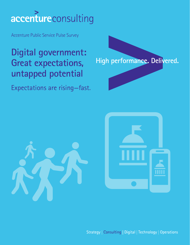# accentureconsulting

Accenture Public Service Pulse Survey

## **Digital government: Great expectations, untapped potential**

Expectations are rising—fast.







Strategy | Consulting | Digital | Technology | Operations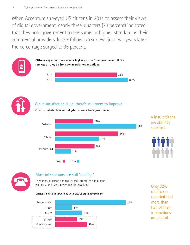When Accenture surveyed US citizens in 2014 to assess their views of digital government, nearly three-quarters (73 percent) indicated that they hold government to the same, or higher, standard as their commercial providers. In the follow-up survey—just two years later the percentage surged to 85 percent.



## While satisfaction is up, there's still room to improve.

**Citizens' satisfaction with digital services from government**



## 4 in10 citizens are still not satisfied.





## Most interactions are still "analog."

Telephone, in person and regular mail are still the dominant channels for citizen-government interactions.

#### **Citizens' digital interactions with city or state government**



Only 32% of citizens reported that more than half of their interactions are digital.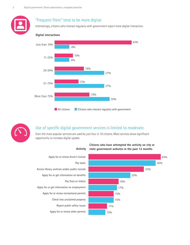## "Frequent fliers" tend to be more digital.

Interestingly, citizens who interact regularly with government report more digital interaction.

#### **Digital interactions**





## Use of specific digital government services is limited to moderate.

Even the most popular services are used by just four in 10 citizens. Most services show significant opportunity to increase digital uptake.



#### **Activity Citizens who have attempted the activity on city or state government websites in the past 12 months**

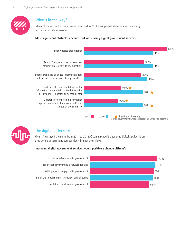

## What's in the way?

Many of the obstacles that citizens identified in 2014 have persisted—with some alarming increases in certain barriers.

#### **Most significant obstacles encountered when using digital government services**





### The digital difference

One thing stayed the same from 2014 to 2016: Citizens made it clear that digital services is an area where government can positively impact their views.

#### **Improving digital government services would positively change citizens':**